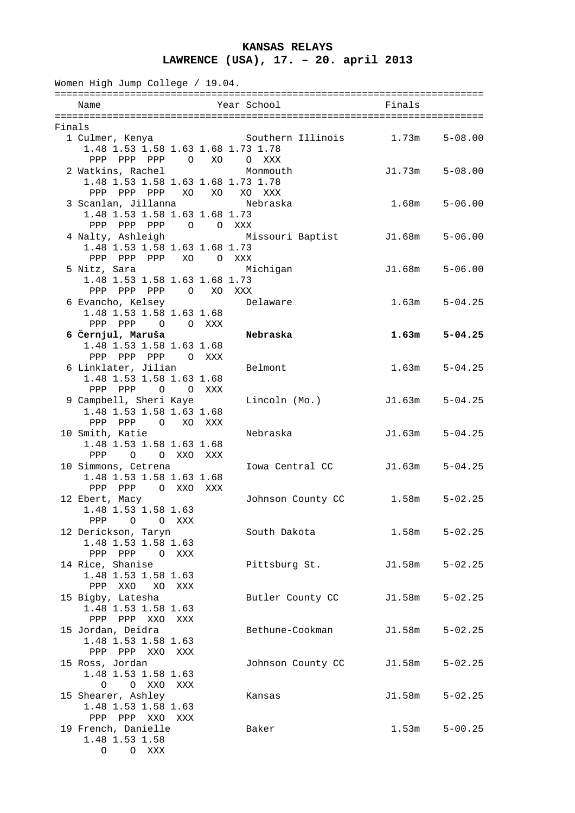## **KANSAS RELAYS LAWRENCE (USA), 17. – 20. april 2013**

| Women High Jump College / 19.04. |                                                                                               |     |                                           |        |                   |  |  |  |
|----------------------------------|-----------------------------------------------------------------------------------------------|-----|-------------------------------------------|--------|-------------------|--|--|--|
|                                  | Name                                                                                          |     | Year School                               | Finals |                   |  |  |  |
| Finals                           |                                                                                               |     |                                           |        |                   |  |  |  |
|                                  | 1 Culmer, Kenya<br>1.48 1.53 1.58 1.63 1.68 1.73 1.78<br>PPP PPP PPP 0                        | XO  | Southern Illinois 1.73m<br>O XXX          |        | $5 - 08.00$       |  |  |  |
|                                  | 2 Watkins, Rachel<br>1.48 1.53 1.58 1.63 1.68 1.73 1.78                                       |     | Monmouth                                  | J1.73m | $5 - 08.00$       |  |  |  |
|                                  | PPP PPP PPP XO XO<br>3 Scanlan, Jillanna<br>1.48 1.53 1.58 1.63 1.68 1.73                     |     | XO XXX<br>Nebraska                        | 1.68m  | $5 - 06.00$       |  |  |  |
|                                  | PPP PPP<br>PPP<br>4 Nalty, Ashleigh<br>1.48 1.53 1.58 1.63 1.68 1.73                          |     | O OXXX<br>Missouri Baptist J1.68m 5-06.00 |        |                   |  |  |  |
|                                  | XO OXXX<br>PPP PPP PPP<br>5 Nitz, Sara<br>1.48 1.53 1.58 1.63 1.68 1.73                       |     | Michigan                                  | J1.68m | $5 - 06.00$       |  |  |  |
|                                  | PPP PPP PPP<br>O XO XXX<br>6 Evancho, Kelsey<br>1.48 1.53 1.58 1.63 1.68                      |     | Delaware                                  | 1.63m  | $5 - 04.25$       |  |  |  |
|                                  | PPP PPP 0 0 XXX<br>6 Černjul, Maruša<br>1.48 1.53 1.58 1.63 1.68                              |     | Nebraska                                  | 1.63m  | $5 - 04.25$       |  |  |  |
|                                  | PPP PPP PPP<br>O XXX<br>6 Linklater, Jilian<br>1.48 1.53 1.58 1.63 1.68                       |     | Belmont                                   | 1.63m  | $5 - 04.25$       |  |  |  |
|                                  | PPP PPP 0 0 XXX<br>9 Campbell, Sheri Kaye<br>1.48 1.53 1.58 1.63 1.68                         |     | Lincoln (Mo.)                             | J1.63m | $5 - 04.25$       |  |  |  |
|                                  | XO<br>PPP<br>PPP<br>$\overline{O}$<br>10 Smith, Katie<br>1.48 1.53 1.58 1.63 1.68             | XXX | Nebraska                                  | J1.63m | $5 - 04.25$       |  |  |  |
|                                  | O O XXO<br>PPP<br>10 Simmons, Cetrena<br>1.48 1.53 1.58 1.63 1.68                             | XXX | Iowa Central CC                           | J1.63m | $5 - 04.25$       |  |  |  |
|                                  | PPP<br>PPP<br>O XXO XXX<br>12 Ebert, Macy<br>1.48 1.53 1.58 1.63                              |     | Johnson County CC 1.58m                   |        | $5 - 02.25$       |  |  |  |
|                                  | PPP<br>$\overline{O}$<br>O XXX<br>12 Derickson, Taryn<br>1.48 1.53 1.58 1.63<br>PPP PPP O XXX |     | South Dakota                              |        | $1.58m$ $5-02.25$ |  |  |  |
|                                  | 14 Rice, Shanise<br>1.48 1.53 1.58 1.63                                                       |     | Pittsburg St.                             | J1.58m | $5 - 02.25$       |  |  |  |
|                                  | PPP<br>XXO XO XXX<br>15 Bigby, Latesha<br>1.48 1.53 1.58 1.63                                 |     | Butler County CC                          | J1.58m | $5 - 02.25$       |  |  |  |
|                                  | PPP XXO<br>PPP<br>XXX<br>15 Jordan, Deidra<br>1.48 1.53 1.58 1.63                             |     | Bethune-Cookman                           | J1.58m | $5 - 02.25$       |  |  |  |
|                                  | PPP PPP XXO<br>XXX<br>15 Ross, Jordan<br>1.48 1.53 1.58 1.63                                  |     | Johnson County CC                         | J1.58m | $5 - 02.25$       |  |  |  |
|                                  | O XXO<br>$\circ$<br>XXX<br>15 Shearer, Ashley<br>1.48 1.53 1.58 1.63                          |     | Kansas                                    | J1.58m | $5 - 02.25$       |  |  |  |
|                                  | PPP PPP XXO<br>XXX<br>19 French, Danielle<br>1.48 1.53 1.58<br>$\circ$<br>O XXX               |     | Baker                                     | 1.53m  | $5 - 00.25$       |  |  |  |